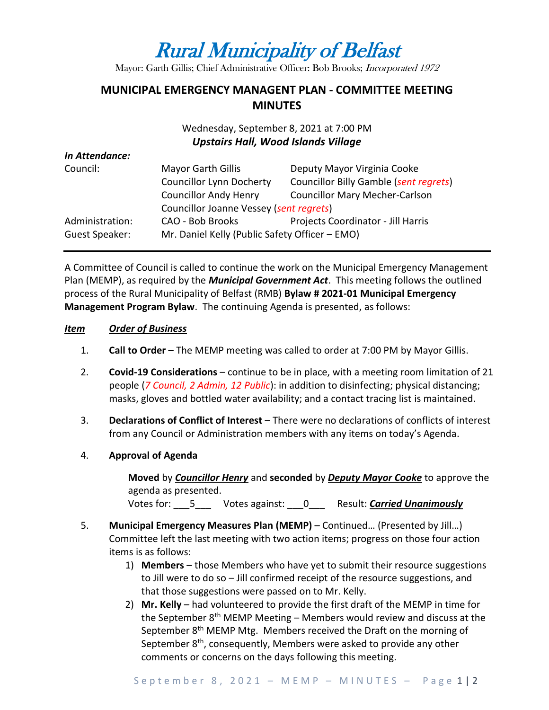# Rural Municipality of Belfast

Mayor: Garth Gillis; Chief Administrative Officer: Bob Brooks; Incorporated 1972

## **MUNICIPAL EMERGENCY MANAGENT PLAN - COMMITTEE MEETING MINUTES**

### Wednesday, September 8, 2021 at 7:00 PM *Upstairs Hall, Wood Islands Village*

| In Attendance:  |                                                |                                        |
|-----------------|------------------------------------------------|----------------------------------------|
| Council:        | <b>Mayor Garth Gillis</b>                      | Deputy Mayor Virginia Cooke            |
|                 | <b>Councillor Lynn Docherty</b>                | Councillor Billy Gamble (sent regrets) |
|                 | <b>Councillor Andy Henry</b>                   | <b>Councillor Mary Mecher-Carlson</b>  |
|                 | Councillor Joanne Vessey (sent regrets)        |                                        |
| Administration: | CAO - Bob Brooks                               | Projects Coordinator - Jill Harris     |
| Guest Speaker:  | Mr. Daniel Kelly (Public Safety Officer - EMO) |                                        |

A Committee of Council is called to continue the work on the Municipal Emergency Management Plan (MEMP), as required by the *Municipal Government Act*. This meeting follows the outlined process of the Rural Municipality of Belfast (RMB) **Bylaw # 2021-01 Municipal Emergency Management Program Bylaw**. The continuing Agenda is presented, as follows:

#### *Item Order of Business*

- 1. **Call to Order** The MEMP meeting was called to order at 7:00 PM by Mayor Gillis.
- 2. **Covid-19 Considerations**  continue to be in place, with a meeting room limitation of 21 people (*7 Council, 2 Admin, 12 Public*): in addition to disinfecting; physical distancing; masks, gloves and bottled water availability; and a contact tracing list is maintained.
- 3. **Declarations of Conflict of Interest** There were no declarations of conflicts of interest from any Council or Administration members with any items on today's Agenda.
- 4. **Approval of Agenda**

**Moved** by *Councillor Henry* and **seconded** by *Deputy Mayor Cooke* to approve the agenda as presented. Votes for: \_\_\_5\_\_\_ Votes against: \_\_\_0\_\_\_ Result: *Carried Unanimously*

- 
- 5. **Municipal Emergency Measures Plan (MEMP)** Continued… (Presented by Jill…) Committee left the last meeting with two action items; progress on those four action items is as follows:
	- 1) **Members** those Members who have yet to submit their resource suggestions to Jill were to do so – Jill confirmed receipt of the resource suggestions, and that those suggestions were passed on to Mr. Kelly.
	- 2) **Mr. Kelly**  had volunteered to provide the first draft of the MEMP in time for the September 8<sup>th</sup> MEMP Meeting – Members would review and discuss at the September 8<sup>th</sup> MEMP Mtg. Members received the Draft on the morning of September 8<sup>th</sup>, consequently, Members were asked to provide any other comments or concerns on the days following this meeting.